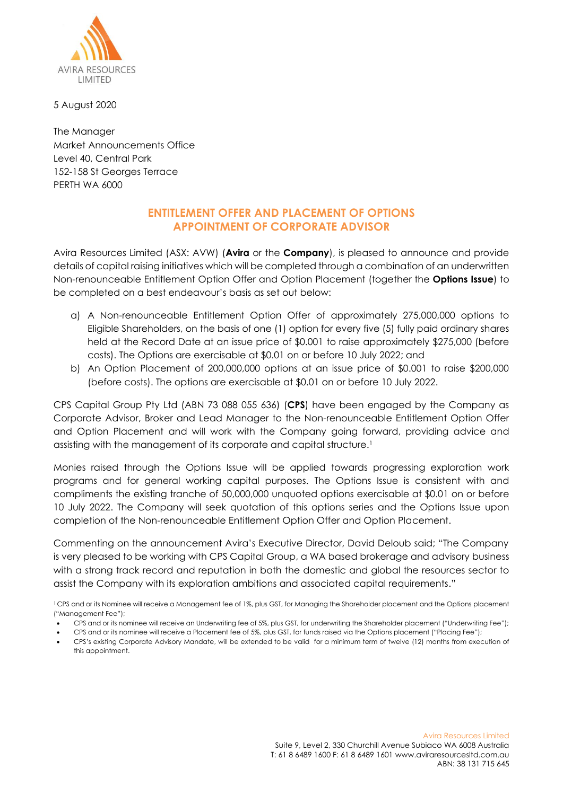

5 August 2020

The Manager Market Announcements Office Level 40, Central Park 152-158 St Georges Terrace PERTH WA 6000

## **ENTITLEMENT OFFER AND PLACEMENT OF OPTIONS APPOINTMENT OF CORPORATE ADVISOR**

Avira Resources Limited (ASX: AVW) (**Avira** or the **Company**), is pleased to announce and provide details of capital raising initiatives which will be completed through a combination of an underwritten Non-renounceable Entitlement Option Offer and Option Placement (together the **Options Issue**) to be completed on a best endeavour's basis as set out below:

- a) A Non-renounceable Entitlement Option Offer of approximately 275,000,000 options to Eligible Shareholders, on the basis of one (1) option for every five (5) fully paid ordinary shares held at the Record Date at an issue price of \$0.001 to raise approximately \$275,000 (before costs). The Options are exercisable at \$0.01 on or before 10 July 2022; and
- b) An Option Placement of 200,000,000 options at an issue price of \$0.001 to raise \$200,000 (before costs). The options are exercisable at \$0.01 on or before 10 July 2022.

CPS Capital Group Pty Ltd (ABN 73 088 055 636) (**CPS**) have been engaged by the Company as Corporate Advisor, Broker and Lead Manager to the Non-renounceable Entitlement Option Offer and Option Placement and will work with the Company going forward, providing advice and assisting with the management of its corporate and capital structure. 1

Monies raised through the Options Issue will be applied towards progressing exploration work programs and for general working capital purposes. The Options Issue is consistent with and compliments the existing tranche of 50,000,000 unquoted options exercisable at \$0.01 on or before 10 July 2022. The Company will seek quotation of this options series and the Options Issue upon completion of the Non-renounceable Entitlement Option Offer and Option Placement.

Commenting on the announcement Avira's Executive Director, David Deloub said; "The Company is very pleased to be working with CPS Capital Group, a WA based brokerage and advisory business with a strong track record and reputation in both the domestic and global the resources sector to assist the Company with its exploration ambitions and associated capital requirements."

- CPS and or its nominee will receive an Underwriting fee of 5%, plus GST, for underwriting the Shareholder placement ("Underwriting Fee"); • CPS and or its nominee will receive a Placement fee of 5%, plus GST, for funds raised via the Options placement ("Placing Fee");
- CPS's existing Corporate Advisory Mandate, will be extended to be valid for a minimum term of twelve (12) months from execution of
- this appointment.

<sup>&</sup>lt;sup>1</sup> CPS and or its Nominee will receive a Management fee of 1%, plus GST, for Managing the Shareholder placement and the Options placement ("Management Fee");